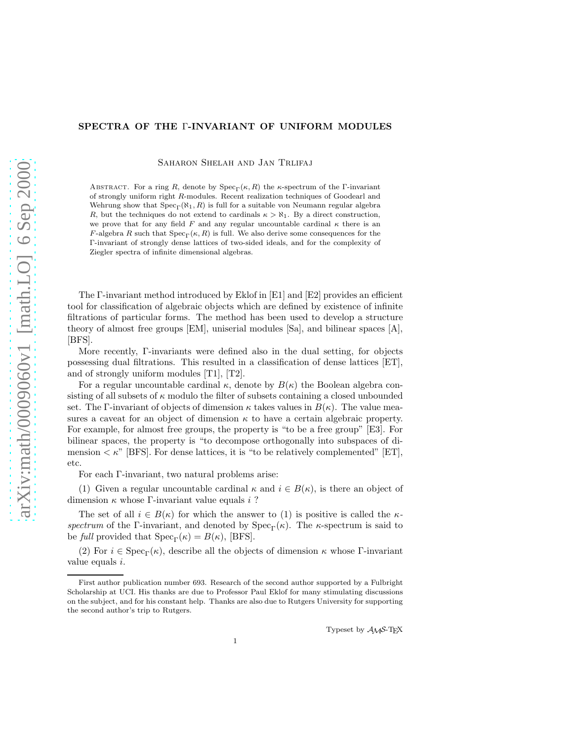# SPECTRA OF THE Γ-INVARIANT OF UNIFORM MODULES

SAHARON SHELAH AND JAN TRLIFAJ

ABSTRACT. For a ring R, denote by  $Spec_{\Gamma}(\kappa, R)$  the  $\kappa$ -spectrum of the Γ-invariant of strongly uniform right R-modules. Recent realization techniques of Goodearl and Wehrung show that  $Spec_\Gamma(\aleph_1, R)$  is full for a suitable von Neumann regular algebra R, but the techniques do not extend to cardinals  $\kappa > \aleph_1$ . By a direct construction, we prove that for any field F and any regular uncountable cardinal  $\kappa$  there is an F-algebra R such that  $Spec_{\Gamma}(\kappa, R)$  is full. We also derive some consequences for the Γ-invariant of strongly dense lattices of two-sided ideals, and for the complexity of Ziegler spectra of infinite dimensional algebras.

The Γ-invariant method introduced by Eklof in [E1] and [E2] provides an efficient tool for classification of algebraic objects which are defined by existence of infinite filtrations of particular forms. The method has been used to develop a structure theory of almost free groups [EM], uniserial modules [Sa], and bilinear spaces [A], [BFS].

More recently, Γ-invariants were defined also in the dual setting, for objects possessing dual filtrations. This resulted in a classification of dense lattices [ET], and of strongly uniform modules [T1], [T2].

For a regular uncountable cardinal  $\kappa$ , denote by  $B(\kappa)$  the Boolean algebra consisting of all subsets of  $\kappa$  modulo the filter of subsets containing a closed unbounded set. The Γ-invariant of objects of dimension  $\kappa$  takes values in  $B(\kappa)$ . The value measures a caveat for an object of dimension  $\kappa$  to have a certain algebraic property. For example, for almost free groups, the property is "to be a free group" [E3]. For bilinear spaces, the property is "to decompose orthogonally into subspaces of dimension  $\lt \kappa$ " [BFS]. For dense lattices, it is "to be relatively complemented" [ET], etc.

For each Γ-invariant, two natural problems arise:

(1) Given a regular uncountable cardinal  $\kappa$  and  $i \in B(\kappa)$ , is there an object of dimension  $\kappa$  whose Γ-invariant value equals i ?

The set of all  $i \in B(\kappa)$  for which the answer to (1) is positive is called the  $\kappa$ spectrum of the Γ-invariant, and denoted by  $Spec_\Gamma(\kappa)$ . The  $\kappa$ -spectrum is said to be full provided that  $Spec_{\Gamma}(\kappa) = B(\kappa)$ , [BFS].

(2) For  $i \in \text{Spec}_{\Gamma}(\kappa)$ , describe all the objects of dimension  $\kappa$  whose Γ-invariant value equals i.

Typeset by AMS-TEX

First author publication number 693. Research of the second author supported by a Fulbright Scholarship at UCI. His thanks are due to Professor Paul Eklof for many stimulating discussions on the subject, and for his constant help. Thanks are also due to Rutgers University for supporting the second author's trip to Rutgers.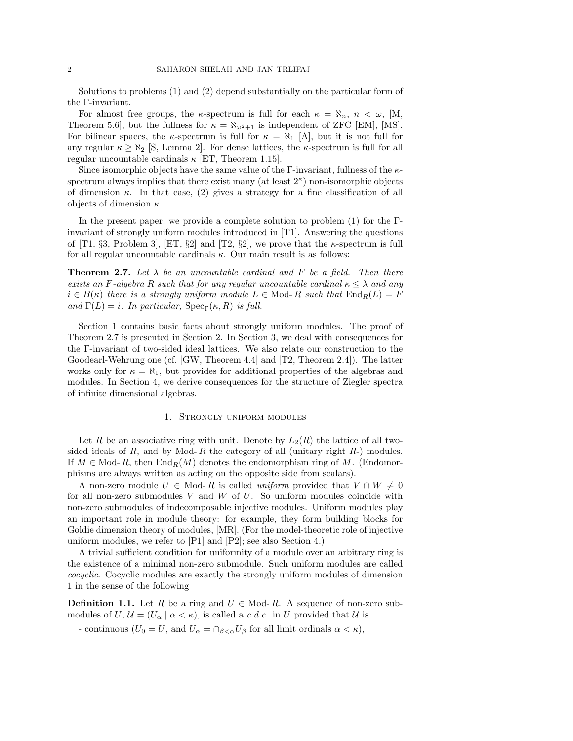Solutions to problems (1) and (2) depend substantially on the particular form of the Γ-invariant.

For almost free groups, the  $\kappa$ -spectrum is full for each  $\kappa = \aleph_n$ ,  $n < \omega$ , [M, Theorem 5.6, but the fullness for  $\kappa = \aleph_{\omega^2+1}$  is independent of ZFC [EM], [MS]. For bilinear spaces, the  $\kappa$ -spectrum is full for  $\kappa = \aleph_1$  [A], but it is not full for any regular  $\kappa \geq \aleph_2$  [S, Lemma 2]. For dense lattices, the  $\kappa$ -spectrum is full for all regular uncountable cardinals  $\kappa$  [ET, Theorem 1.15].

Since isomorphic objects have the same value of the Γ-invariant, fullness of the  $\kappa$ spectrum always implies that there exist many (at least  $2^{\kappa}$ ) non-isomorphic objects of dimension  $\kappa$ . In that case, (2) gives a strategy for a fine classification of all objects of dimension  $\kappa$ .

In the present paper, we provide a complete solution to problem (1) for the Γinvariant of strongly uniform modules introduced in [T1]. Answering the questions of [T1, §3, Problem 3], [ET, §2] and [T2, §2], we prove that the  $\kappa$ -spectrum is full for all regular uncountable cardinals  $\kappa$ . Our main result is as follows:

**Theorem 2.7.** Let  $\lambda$  be an uncountable cardinal and F be a field. Then there exists an F-algebra R such that for any regular uncountable cardinal  $\kappa \leq \lambda$  and any  $i \in B(\kappa)$  there is a strongly uniform module  $L \in \text{Mod}_R R$  such that  $\text{End}_R(L) = F$ and  $\Gamma(L) = i$ . In particular,  $\text{Spec}_{\Gamma}(\kappa, R)$  is full.

Section 1 contains basic facts about strongly uniform modules. The proof of Theorem 2.7 is presented in Section 2. In Section 3, we deal with consequences for the Γ-invariant of two-sided ideal lattices. We also relate our construction to the Goodearl-Wehrung one (cf. [GW, Theorem 4.4] and [T2, Theorem 2.4]). The latter works only for  $\kappa = \aleph_1$ , but provides for additional properties of the algebras and modules. In Section 4, we derive consequences for the structure of Ziegler spectra of infinite dimensional algebras.

### 1. Strongly uniform modules

Let R be an associative ring with unit. Denote by  $L_2(R)$  the lattice of all twosided ideals of R, and by Mod-R the category of all (unitary right  $R<sub>-</sub>$ ) modules. If  $M \in Mod-R$ , then  $\text{End}_R(M)$  denotes the endomorphism ring of M. (Endomorphisms are always written as acting on the opposite side from scalars).

A non-zero module  $U \in \text{Mod-}R$  is called uniform provided that  $V \cap W \neq 0$ for all non-zero submodules V and W of U. So uniform modules coincide with non-zero submodules of indecomposable injective modules. Uniform modules play an important role in module theory: for example, they form building blocks for Goldie dimension theory of modules, [MR]. (For the model-theoretic role of injective uniform modules, we refer to [P1] and [P2]; see also Section 4.)

A trivial sufficient condition for uniformity of a module over an arbitrary ring is the existence of a minimal non-zero submodule. Such uniform modules are called cocyclic. Cocyclic modules are exactly the strongly uniform modules of dimension 1 in the sense of the following

**Definition 1.1.** Let R be a ring and  $U \in Mod-R$ . A sequence of non-zero submodules of  $U, \mathcal{U} = (U_\alpha \mid \alpha < \kappa)$ , is called a c.d.c. in U provided that  $\mathcal{U}$  is

- continuous  $(U_0 = U$ , and  $U_\alpha = \bigcap_{\beta < \alpha} U_\beta$  for all limit ordinals  $\alpha < \kappa$ ),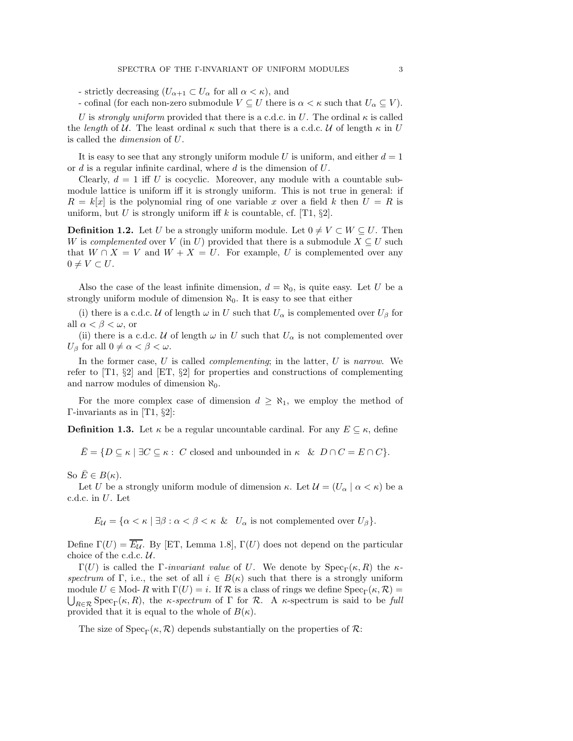- strictly decreasing  $(U_{\alpha+1} \subset U_{\alpha}$  for all  $\alpha < \kappa$ ), and

- cofinal (for each non-zero submodule  $V \subseteq U$  there is  $\alpha < \kappa$  such that  $U_{\alpha} \subseteq V$ ).

U is strongly uniform provided that there is a c.d.c. in U. The ordinal  $\kappa$  is called the length of U. The least ordinal  $\kappa$  such that there is a c.d.c. U of length  $\kappa$  in U is called the dimension of U.

It is easy to see that any strongly uniform module U is uniform, and either  $d = 1$ or d is a regular infinite cardinal, where d is the dimension of U.

Clearly,  $d = 1$  iff U is cocyclic. Moreover, any module with a countable submodule lattice is uniform iff it is strongly uniform. This is not true in general: if  $R = k[x]$  is the polynomial ring of one variable x over a field k then  $U = R$  is uniform, but U is strongly uniform iff k is countable, cf. [T1,  $\S2$ ].

**Definition 1.2.** Let U be a strongly uniform module. Let  $0 \neq V \subset W \subseteq U$ . Then W is complemented over V (in U) provided that there is a submodule  $X \subseteq U$  such that  $W \cap X = V$  and  $W + X = U$ . For example, U is complemented over any  $0 \neq V \subset U$ .

Also the case of the least infinite dimension,  $d = \aleph_0$ , is quite easy. Let U be a strongly uniform module of dimension  $\aleph_0$ . It is easy to see that either

(i) there is a c.d.c. U of length  $\omega$  in U such that  $U_{\alpha}$  is complemented over  $U_{\beta}$  for all  $\alpha < \beta < \omega$ , or

(ii) there is a c.d.c. U of length  $\omega$  in U such that  $U_{\alpha}$  is not complemented over  $U_{\beta}$  for all  $0 \neq \alpha < \beta < \omega$ .

In the former case,  $U$  is called *complementing*; in the latter,  $U$  is narrow. We refer to  $[T1, \S2]$  and  $[ET, \S2]$  for properties and constructions of complementing and narrow modules of dimension  $\aleph_0$ .

For the more complex case of dimension  $d \geq \aleph_1$ , we employ the method of Γ-invariants as in [T1, §2]:

**Definition 1.3.** Let  $\kappa$  be a regular uncountable cardinal. For any  $E \subseteq \kappa$ , define

 $\overline{E} = \{D \subseteq \kappa \mid \exists C \subseteq \kappa : C \text{ closed and unbounded in } \kappa \& D \cap C = E \cap C\}.$ 

So  $E \in B(\kappa)$ .

Let U be a strongly uniform module of dimension  $\kappa$ . Let  $\mathcal{U} = (U_\alpha \mid \alpha < \kappa)$  be a c.d.c. in U. Let

 $E_{\mathcal{U}} = {\alpha < \kappa \mid \exists \beta : \alpha < \beta < \kappa \ \& \ \ U_{\alpha} \text{ is not complemented over } U_{\beta}}.$ 

Define  $\Gamma(U) = \overline{E_{\mathcal{U}}}$ . By [ET, Lemma 1.8],  $\Gamma(U)$  does not depend on the particular choice of the c.d.c. U.

Γ(U) is called the Γ-invariant value of U. We denote by  $Spec_\Gamma(\kappa, R)$  the  $\kappa$ spectrum of Γ, i.e., the set of all  $i \in B(\kappa)$  such that there is a strongly uniform module  $U \in \text{Mod-}R$  with  $\Gamma(U) = i$ . If  $\mathcal R$  is a class of rings we define  $\text{Spec}_{\Gamma}(\kappa, \mathcal R) =$  $\bigcup_{R\in\mathcal{R}}\text{Spec}_{\Gamma}(\kappa,R)$ , the  $\kappa$ -spectrum of  $\Gamma$  for  $\mathcal{R}$ . A  $\kappa$ -spectrum is said to be full provided that it is equal to the whole of  $B(\kappa)$ .

The size of  $Spec_{\Gamma}(\kappa, \mathcal{R})$  depends substantially on the properties of  $\mathcal{R}$ :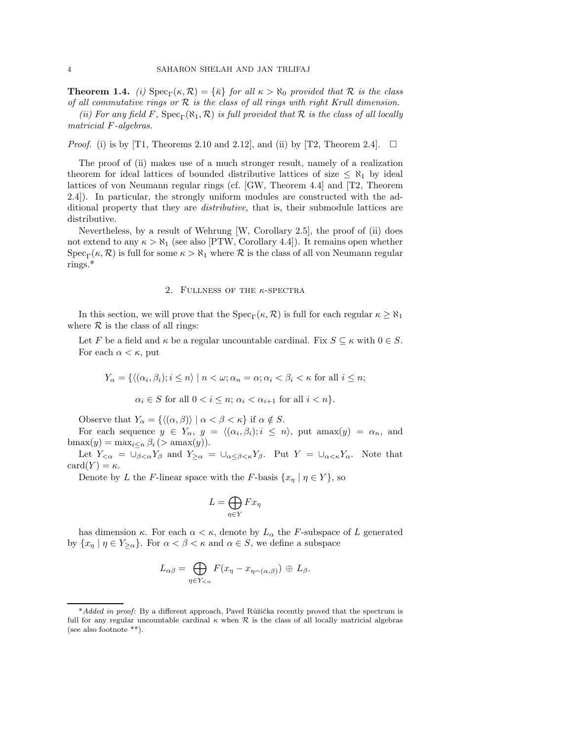**Theorem 1.4.** (i)  $Spec_{\Gamma}(\kappa, \mathcal{R}) = {\bar{\kappa}}$  for all  $\kappa > \aleph_0$  provided that  $\mathcal{R}$  is the class of all commutative rings or  $R$  is the class of all rings with right Krull dimension.

(ii) For any field F,  $Spec_{\Gamma}(\aleph_1, \mathcal{R})$  is full provided that R is the class of all locally matricial F-algebras.

*Proof.* (i) is by [T1, Theorems 2.10 and 2.12], and (ii) by [T2, Theorem 2.4].  $\Box$ 

The proof of (ii) makes use of a much stronger result, namely of a realization theorem for ideal lattices of bounded distributive lattices of size  $\leq \aleph_1$  by ideal lattices of von Neumann regular rings (cf. [GW, Theorem 4.4] and [T2, Theorem 2.4]). In particular, the strongly uniform modules are constructed with the additional property that they are *distributive*, that is, their submodule lattices are distributive.

Nevertheless, by a result of Wehrung [W, Corollary 2.5], the proof of (ii) does not extend to any  $\kappa > \aleph_1$  (see also [PTW, Corollary 4.4]). It remains open whether  $Spec_{\Gamma}(\kappa, \mathcal{R})$  is full for some  $\kappa > \aleph_1$  where  $\mathcal R$  is the class of all von Neumann regular rings.\*

### 2. FULLNESS OF THE  $\kappa$ -SPECTRA

In this section, we will prove that the  $Spec_{\Gamma}(\kappa, \mathcal{R})$  is full for each regular  $\kappa \geq \aleph_1$ where  $R$  is the class of all rings:

Let F be a field and  $\kappa$  be a regular uncountable cardinal. Fix  $S \subseteq \kappa$  with  $0 \in S$ . For each  $\alpha < \kappa$ , put

$$
Y_\alpha=\{\langle(\alpha_i,\beta_i);i\leq n\rangle\mid n<\omega;\alpha_n=\alpha;\alpha_i<\beta_i<\kappa\text{ for all }i\leq n;
$$

 $\alpha_i \in S$  for all  $0 < i \leq n$ ;  $\alpha_i < \alpha_{i+1}$  for all  $i < n$ .

Observe that  $Y_{\alpha} = \{ \langle (\alpha, \beta) \rangle | \alpha < \beta < \kappa \}$  if  $\alpha \notin S$ .

For each sequence  $y \in Y_{\alpha}, y = \langle (\alpha_i, \beta_i); i \leq n \rangle$ , put amax $(y) = \alpha_n$ , and bmax $(y) = \max_{i \leq n} \beta_i$  (> amax $(y)$ ).

Let  $Y_{\leq \alpha} = \overline{\cup_{\beta \leq \alpha}} Y_{\beta}$  and  $Y_{\geq \alpha} = \cup_{\alpha \leq \beta \leq \kappa} Y_{\beta}$ . Put  $Y = \cup_{\alpha \leq \kappa} Y_{\alpha}$ . Note that card $(Y) = \kappa$ .

Denote by L the F-linear space with the F-basis  $\{x_{\eta} | \eta \in Y\}$ , so

$$
L = \bigoplus_{\eta \in Y} F x_{\eta}
$$

has dimension  $\kappa$ . For each  $\alpha < \kappa$ , denote by  $L_{\alpha}$  the F-subspace of L generated by  $\{x_{\eta} \mid \eta \in Y_{\geq \alpha}\}.$  For  $\alpha < \beta < \kappa$  and  $\alpha \in S$ , we define a subspace

$$
L_{\alpha\beta} = \bigoplus_{\eta \in Y_{< \alpha}} F(x_{\eta} - x_{\eta \smallfrown (\alpha, \beta)}) \oplus L_{\beta}.
$$

<sup>\*</sup>Added in proof: By a different approach, Pavel Růžička recently proved that the spectrum is full for any regular uncountable cardinal  $\kappa$  when  $\mathcal R$  is the class of all locally matricial algebras (see also footnote \*\*).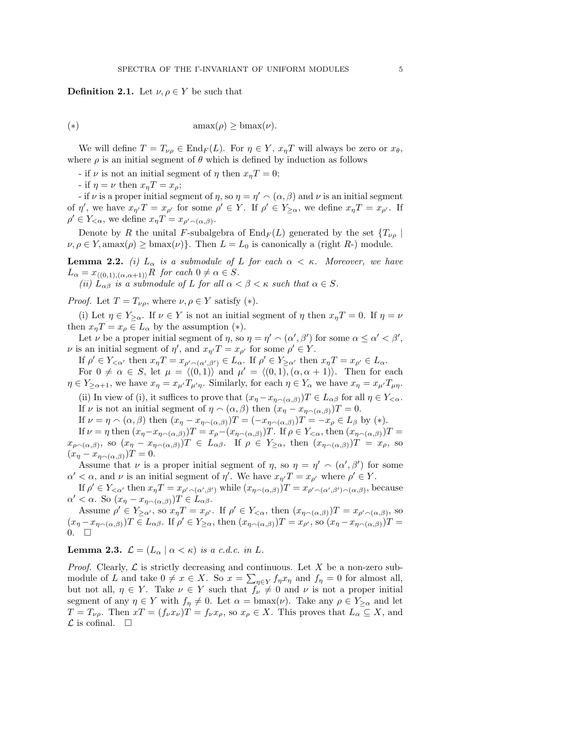**Definition 2.1.** Let  $\nu, \rho \in Y$  be such that

$$
(\ast) \qquad \qquad \text{amax}(\rho) \ge \text{bmax}(\nu).
$$

We will define  $T = T_{\nu\rho} \in \text{End}_F(L)$ . For  $\eta \in Y$ ,  $x_{\eta}T$  will always be zero or  $x_{\theta}$ , where  $\rho$  is an initial segment of  $\theta$  which is defined by induction as follows

- if  $\nu$  is not an initial segment of  $\eta$  then  $x_nT = 0$ ;

- if  $\eta = \nu$  then  $x_{\eta}T = x_{\rho}$ ;

- if  $\nu$  is a proper initial segment of  $\eta$ , so  $\eta = \eta' \cap (\alpha, \beta)$  and  $\nu$  is an initial segment of  $\eta'$ , we have  $x_{\eta'}T = x_{\rho'}$  for some  $\rho' \in Y$ . If  $\rho' \in Y_{\geq \alpha}$ , we define  $x_{\eta}T = x_{\rho'}$ . If  $\rho' \in Y_{< \alpha}$ , we define  $x_{\eta} T = x_{\rho' \smallfrown (\alpha, \beta)}$ .

Denote by R the unital F-subalgebra of  $\text{End}_F(L)$  generated by the set  $\{T_{\nu\rho} \mid$  $\nu, \rho \in Y$ , amax $(\rho) \geq \text{bmax}(\nu)$ . Then  $L = L_0$  is canonically a (right R-) module.

**Lemma 2.2.** (i)  $L_{\alpha}$  is a submodule of L for each  $\alpha < \kappa$ . Moreover, we have  $L_{\alpha} = x_{\langle (0,1),(\alpha,\alpha+1) \rangle}R$  for each  $0 \neq \alpha \in S$ .

(ii)  $L_{\alpha\beta}$  is a submodule of L for all  $\alpha < \beta < \kappa$  such that  $\alpha \in S$ .

*Proof.* Let  $T = T_{\nu\rho}$ , where  $\nu, \rho \in Y$  satisfy (\*).

(i) Let  $\eta \in Y_{\geq \alpha}$ . If  $\nu \in Y$  is not an initial segment of  $\eta$  then  $x_{\eta}T = 0$ . If  $\eta = \nu$ then  $x_nT = x_\rho \in L_\alpha$  by the assumption (\*).

Let  $\nu$  be a proper initial segment of  $\eta$ , so  $\eta = \eta' \cap (\alpha', \beta')$  for some  $\alpha \leq \alpha' < \beta'$ ,  $\nu$  is an initial segment of  $\eta'$ , and  $x_{\eta'}T = x_{\rho'}$  for some  $\rho' \in Y$ .

If  $\rho' \in Y_{< \alpha'}$  then  $x_{\eta} T = x_{\rho' \wedge (\alpha', \beta')} \in L_{\alpha}$ . If  $\rho' \in Y_{\geq \alpha'}$  then  $x_{\eta} T = x_{\rho'} \in L_{\alpha}$ . For  $0 \neq \alpha \in S$ , let  $\mu = \langle (0, 1) \rangle$  and  $\mu' = \langle (0, 1), (\alpha, \alpha + 1) \rangle$ . Then for each  $\eta \in Y_{\geq \alpha+1}$ , we have  $x_{\eta} = x_{\mu'} T_{\mu' \eta}$ . Similarly, for each  $\eta \in Y_{\alpha}$  we have  $x_{\eta} = x_{\mu'} T_{\mu \eta}$ .

(ii) In view of (i), it suffices to prove that  $(x_{\eta}-x_{\eta(\alpha,\beta)})T \in L_{\alpha\beta}$  for all  $\eta \in Y_{\leq \alpha}$ . If  $\nu$  is not an initial segment of  $\eta \sim (\alpha, \beta)$  then  $(x_{\eta} - x_{\eta \sim (\alpha, \beta)})T = 0$ .

If  $\nu = \eta \wedge (\alpha, \beta)$  then  $(x_{\eta} - x_{\eta \wedge (\alpha, \beta)})T = (-x_{\eta \wedge (\alpha, \beta)})T = -x_{\rho} \in L_{\beta}$  by  $(*)$ .

If  $\nu = \eta$  then  $(x_{\eta} - x_{\eta \smallfrown (\alpha, \beta)})T = x_{\rho} - (x_{\eta \smallfrown (\alpha, \beta)})T$ . If  $\rho \in Y_{< \alpha}$ , then  $(x_{\eta \smallfrown (\alpha, \beta)})T =$  $x_{\rho\smallfrown(\alpha,\beta)}$ , so  $(x_\eta-x_{\eta\smallfrown(\alpha,\beta)})$   $T \in L_{\alpha\beta}$ . If  $\rho \in Y_{\geq\alpha}$ , then  $(x_{\eta\smallfrown(\alpha,\beta)})$   $T = x_\rho$ , so  $(x_{\eta}-x_{\eta\smallfrown(\alpha,\beta)})T=0.$ 

Assume that  $\nu$  is a proper initial segment of  $\eta$ , so  $\eta = \eta' \cap (\alpha', \beta')$  for some  $\alpha' < \alpha$ , and  $\nu$  is an initial segment of  $\eta'$ . We have  $x_{\eta'}T = x_{\rho'}$  where  $\rho' \in Y$ .

If  $\rho' \in Y_{\leq \alpha'}$  then  $x_{\eta}T = x_{\rho' \sim (\alpha', \beta')}$  while  $(x_{\eta \sim (\alpha, \beta)})T = x_{\rho' \sim (\alpha', \beta') \sim (\alpha, \beta)}$ , because  $\alpha' < \alpha$ . So  $(x_{\eta} - x_{\eta \smallfrown (\alpha, \beta)})$  $T \in L_{\alpha\beta}$ .

Assume  $\rho' \in Y_{\geq \alpha'}$ , so  $x_{\eta}T = x_{\rho'}$ . If  $\rho' \in Y_{\leq \alpha}$ , then  $(x_{\eta \sim (\alpha,\beta)})T = x_{\rho' \sim (\alpha,\beta)}$ , so  $(x_{\eta} - x_{\eta \smallfrown (\alpha,\beta)})T \in L_{\alpha\beta}$ . If  $\rho' \in Y_{\geq \alpha}$ , then  $(x_{\eta \smallfrown (\alpha,\beta)})T = x_{\rho'}$ , so  $(x_{\eta} - x_{\eta \smallfrown (\alpha,\beta)})T =$  $0. \quad \Box$ 

**Lemma 2.3.**  $\mathcal{L} = (L_{\alpha} \mid \alpha < \kappa)$  is a c.d.c. in L.

*Proof.* Clearly,  $\mathcal{L}$  is strictly decreasing and continuous. Let X be a non-zero submodule of L and take  $0 \neq x \in X$ . So  $x = \sum_{\eta \in Y} f_{\eta} x_{\eta}$  and  $f_{\eta} = 0$  for almost all, but not all,  $\eta \in Y$ . Take  $\nu \in Y$  such that  $f_{\nu} \neq 0$  and  $\nu$  is not a proper initial segment of any  $\eta \in Y$  with  $f_{\eta} \neq 0$ . Let  $\alpha = \text{bmax}(\nu)$ . Take any  $\rho \in Y_{\geq \alpha}$  and let  $T = T_{\nu\rho}$ . Then  $xT = (f_{\nu}x_{\nu})T = f_{\nu}x_{\rho}$ , so  $x_{\rho} \in X$ . This proves that  $L_{\alpha} \subseteq X$ , and  $\mathcal L$  is cofinal.  $\square$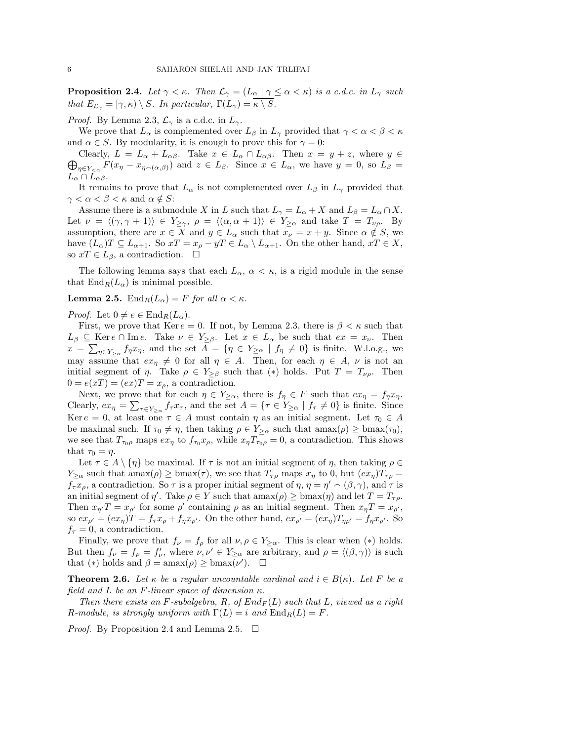**Proposition 2.4.** Let  $\gamma < \kappa$ . Then  $\mathcal{L}_{\gamma} = (L_{\alpha} | \gamma \leq \alpha < \kappa)$  is a c.d.c. in  $L_{\gamma}$  such that  $E_{\mathcal{L}_{\gamma}} = [\gamma, \kappa) \setminus S$ . In particular,  $\Gamma(L_{\gamma}) = \overline{\kappa \setminus S}$ .

*Proof.* By Lemma 2.3,  $\mathcal{L}_{\gamma}$  is a c.d.c. in  $L_{\gamma}$ .

We prove that  $L_{\alpha}$  is complemented over  $L_{\beta}$  in  $L_{\gamma}$  provided that  $\gamma < \alpha < \beta < \kappa$ and  $\alpha \in S$ . By modularity, it is enough to prove this for  $\gamma = 0$ :

 $\bigoplus_{\eta \in Y_{\leq \alpha}} F(x_{\eta} - x_{\eta \smallfrown(\alpha,\beta)})$  and  $z \in L_{\beta}$ . Since  $x \in L_{\alpha}$ , we have  $y = 0$ , so  $L_{\beta} =$ Clearly,  $L = L_{\alpha} + L_{\alpha\beta}$ . Take  $x \in L_{\alpha} \cap L_{\alpha\beta}$ . Then  $x = y + z$ , where  $y \in$  $L_{\alpha} \cap L_{\alpha\beta}$ .

It remains to prove that  $L_{\alpha}$  is not complemented over  $L_{\beta}$  in  $L_{\gamma}$  provided that  $\gamma < \alpha < \beta < \kappa$  and  $\alpha \notin S$ :

Assume there is a submodule X in L such that  $L_{\gamma} = L_{\alpha} + X$  and  $L_{\beta} = L_{\alpha} \cap X$ . Let  $\nu = \langle (\gamma, \gamma + 1) \rangle \in Y_{\geq \gamma}, \ \rho = \langle (\alpha, \alpha + 1) \rangle \in Y_{\geq \alpha} \ \text{and take } T = T_{\nu \rho}$ . By assumption, there are  $x \in X$  and  $y \in L_{\alpha}$  such that  $x_{\nu} = x + y$ . Since  $\alpha \notin S$ , we have  $(L_{\alpha})T \subseteq L_{\alpha+1}$ . So  $xT = x_{\rho} - yT \in L_{\alpha} \setminus L_{\alpha+1}$ . On the other hand,  $xT \in X$ , so  $xT \in L_{\beta}$ , a contradiction.  $\square$ 

The following lemma says that each  $L_{\alpha}$ ,  $\alpha < \kappa$ , is a rigid module in the sense that  $\text{End}_R(L_\alpha)$  is minimal possible.

# **Lemma 2.5.** End<sub>R</sub>( $L_{\alpha}$ ) = F for all  $\alpha < \kappa$ .

*Proof.* Let  $0 \neq e \in \text{End}_{R}(L_{\alpha}).$ 

First, we prove that Ker  $e = 0$ . If not, by Lemma 2.3, there is  $\beta < \kappa$  such that  $L_\beta \subseteq \text{Ker } e \cap \text{Im } e$ . Take  $\nu \in Y_{\geq \beta}$ . Let  $x \in L_\alpha$  be such that  $ex = x_\nu$ . Then  $x = \sum_{\eta \in Y_{\geq \alpha}} f_{\eta} x_{\eta}$ , and the set  $A = \{\eta \in Y_{\geq \alpha} \mid f_{\eta} \neq 0\}$  is finite. W.l.o.g., we may assume that  $ex_{\eta} \neq 0$  for all  $\eta \in A$ . Then, for each  $\eta \in A$ ,  $\nu$  is not an initial segment of  $\eta$ . Take  $\rho \in Y_{\geq \beta}$  such that  $(*)$  holds. Put  $T = T_{\nu\rho}$ . Then  $0 = e(xT) = (ex)T = x_{\rho}$ , a contradiction.

Next, we prove that for each  $\eta \in Y_{\geq \alpha}$ , there is  $f_{\eta} \in F$  such that  $ex_{\eta} = f_{\eta}x_{\eta}$ . Clearly,  $ex_{\eta} = \sum_{\tau \in Y_{\geq \alpha}} f_{\tau} x_{\tau}$ , and the set  $A = \{\tau \in Y_{\geq \alpha} \mid f_{\tau} \neq 0\}$  is finite. Since Ker  $e = 0$ , at least one  $\tau \in A$  must contain  $\eta$  as an initial segment. Let  $\tau_0 \in A$ be maximal such. If  $\tau_0 \neq \eta$ , then taking  $\rho \in Y_{\geq \alpha}$  such that  $\text{amax}(\rho) \geq \text{bmax}(\tau_0)$ , we see that  $T_{\tau_0\rho}$  maps  $ex_{\eta}$  to  $f_{\tau_0}x_{\rho}$ , while  $x_{\eta}T_{\tau_0\rho} = 0$ , a contradiction. This shows that  $\tau_0 = \eta$ .

Let  $\tau \in A \setminus {\eta}$  be maximal. If  $\tau$  is not an initial segment of  $\eta$ , then taking  $\rho \in$  $Y_{\geq \alpha}$  such that  $\max(\rho) \geq \text{bmax}(\tau)$ , we see that  $T_{\tau \rho}$  maps  $x_n$  to 0, but  $(ex_n)T_{\tau \rho} =$  $f_{\tau}x_{\rho}$ , a contradiction. So  $\tau$  is a proper initial segment of  $\eta$ ,  $\eta = \eta' \cap (\beta, \gamma)$ , and  $\tau$  is an initial segment of  $\eta'$ . Take  $\rho \in Y$  such that  $\text{amax}(\rho) \ge \text{bmax}(\eta)$  and let  $T = T_{\tau \rho}$ . Then  $x_{\eta'}T = x_{\rho'}$  for some  $\rho'$  containing  $\rho$  as an initial segment. Then  $x_{\eta}T = x_{\rho'}$ , so  $ex_{\rho'} = (ex_{\eta})T = f_{\tau}x_{\rho} + f_{\eta}x_{\rho'}$ . On the other hand,  $ex_{\rho'} = (ex_{\eta})T_{\eta\rho'} = f_{\eta}x_{\rho'}$ . So  $f_{\tau} = 0$ , a contradiction.

Finally, we prove that  $f_{\nu} = f_{\rho}$  for all  $\nu, \rho \in Y_{\geq \alpha}$ . This is clear when (\*) holds. But then  $f_{\nu} = f_{\rho} = f'_{\nu}$ , where  $\nu, \nu' \in Y_{\geq \alpha}$  are arbitrary, and  $\rho = \langle (\beta, \gamma) \rangle$  is such that (\*) holds and  $\beta = \text{amax}(\rho) \ge \text{bmax}(\nu')$ .  $\Box$ 

**Theorem 2.6.** Let  $\kappa$  be a regular uncountable cardinal and  $i \in B(\kappa)$ . Let F be a field and L be an F-linear space of dimension  $\kappa$ .

Then there exists an F-subalgebra, R, of  $End_F(L)$  such that L, viewed as a right R-module, is strongly uniform with  $\Gamma(L) = i$  and  $\text{End}_{R}(L) = F$ .

*Proof.* By Proposition 2.4 and Lemma 2.5.  $\Box$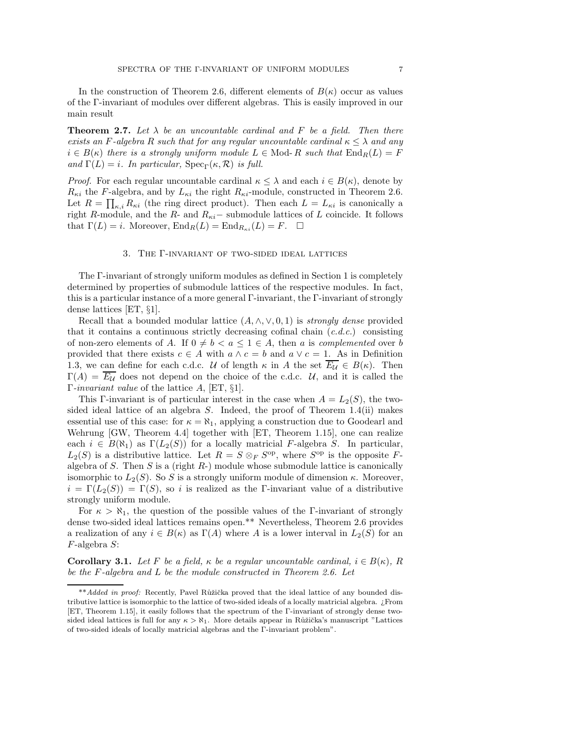In the construction of Theorem 2.6, different elements of  $B(\kappa)$  occur as values of the Γ-invariant of modules over different algebras. This is easily improved in our main result

**Theorem 2.7.** Let  $\lambda$  be an uncountable cardinal and F be a field. Then there exists an F-algebra R such that for any regular uncountable cardinal  $\kappa \leq \lambda$  and any  $i \in B(\kappa)$  there is a strongly uniform module  $L \in \text{Mod}$ - R such that  $\text{End}_R(L) = F$ and  $\Gamma(L) = i$ . In particular,  $Spec_{\Gamma}(\kappa, \mathcal{R})$  is full.

*Proof.* For each regular uncountable cardinal  $\kappa \leq \lambda$  and each  $i \in B(\kappa)$ , denote by  $R_{\kappa i}$  the F-algebra, and by  $L_{\kappa i}$  the right  $R_{\kappa i}$ -module, constructed in Theorem 2.6. Let  $R = \prod_{\kappa,i} R_{\kappa i}$  (the ring direct product). Then each  $L = L_{\kappa i}$  is canonically a right R-module, and the R- and  $R_{\kappa i}$  – submodule lattices of L coincide. It follows that  $\Gamma(L) = i$ . Moreover,  $\text{End}_R(L) = \text{End}_{R_{\kappa i}}(L) = F$ .  $\Box$ 

#### 3. The Γ-invariant of two-sided ideal lattices

The Γ-invariant of strongly uniform modules as defined in Section 1 is completely determined by properties of submodule lattices of the respective modules. In fact, this is a particular instance of a more general Γ-invariant, the Γ-invariant of strongly dense lattices [ET, §1].

Recall that a bounded modular lattice  $(A, \wedge, \vee, 0, 1)$  is *strongly dense* provided that it contains a continuous strictly decreasing cofinal chain  $(c.d.c.)$  consisting of non-zero elements of A. If  $0 \neq b < a \leq 1 \in A$ , then a is *complemented* over b provided that there exists  $c \in A$  with  $a \wedge c = b$  and  $a \vee c = 1$ . As in Definition 1.3, we can define for each c.d.c. U of length  $\kappa$  in A the set  $\overline{E_{\mathcal{U}}} \in B(\kappa)$ . Then  $\Gamma(A) = \overline{E_{U}}$  does not depend on the choice of the c.d.c. U, and it is called the Γ-invariant value of the lattice A, [ET, §1].

This Γ-invariant is of particular interest in the case when  $A = L_2(S)$ , the twosided ideal lattice of an algebra  $S$ . Indeed, the proof of Theorem 1.4(ii) makes essential use of this case: for  $\kappa = \aleph_1$ , applying a construction due to Goodearl and Wehrung [GW, Theorem 4.4] together with [ET, Theorem 1.15], one can realize each  $i \in B(\aleph_1)$  as  $\Gamma(L_2(S))$  for a locally matricial F-algebra S. In particular,  $L_2(S)$  is a distributive lattice. Let  $R = S \otimes_F S^{op}$ , where  $S^{op}$  is the opposite Falgebra of S. Then S is a (right  $R$ -) module whose submodule lattice is canonically isomorphic to  $L_2(S)$ . So S is a strongly uniform module of dimension  $\kappa$ . Moreover,  $i = \Gamma(L_2(S)) = \Gamma(S)$ , so i is realized as the Γ-invariant value of a distributive strongly uniform module.

For  $\kappa > \aleph_1$ , the question of the possible values of the Γ-invariant of strongly dense two-sided ideal lattices remains open.\*\* Nevertheless, Theorem 2.6 provides a realization of any  $i \in B(\kappa)$  as  $\Gamma(A)$  where A is a lower interval in  $L_2(S)$  for an F-algebra S:

Corollary 3.1. Let F be a field,  $\kappa$  be a regular uncountable cardinal,  $i \in B(\kappa)$ , R be the F-algebra and L be the module constructed in Theorem 2.6. Let

<sup>\*\*</sup>Added in proof: Recently, Pavel Růžička proved that the ideal lattice of any bounded distributive lattice is isomorphic to the lattice of two-sided ideals of a locally matricial algebra. ¿From [ET, Theorem 1.15], it easily follows that the spectrum of the Γ-invariant of strongly dense twosided ideal lattices is full for any  $\kappa > \aleph_1$ . More details appear in Růžička's manuscript "Lattices" of two-sided ideals of locally matricial algebras and the Γ-invariant problem".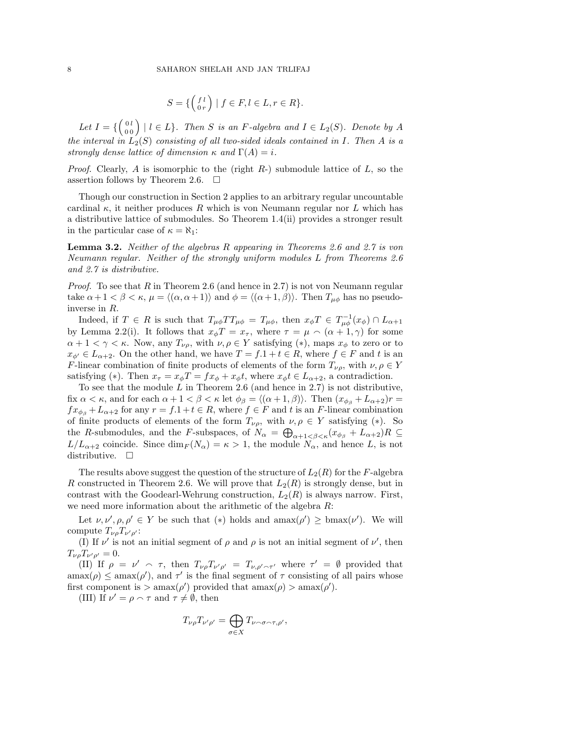$$
S = \{ \begin{pmatrix} f \, l \\ 0 \, r \end{pmatrix} \mid f \in F, l \in L, r \in R \}.
$$

Let  $I = \{ \begin{pmatrix} 0 & l \\ 0 & 0 \end{pmatrix} \mid l \in L \}$ . Then S is an F-algebra and  $I \in L_2(S)$ . Denote by A the interval in  $L_2(S)$  consisting of all two-sided ideals contained in I. Then A is a strongly dense lattice of dimension  $\kappa$  and  $\Gamma(A) = i$ .

*Proof.* Clearly, A is isomorphic to the (right  $R$ -) submodule lattice of  $L$ , so the assertion follows by Theorem 2.6.  $\Box$ 

Though our construction in Section 2 applies to an arbitrary regular uncountable cardinal  $\kappa$ , it neither produces R which is von Neumann regular nor L which has a distributive lattice of submodules. So Theorem 1.4(ii) provides a stronger result in the particular case of  $\kappa = \aleph_1$ :

Lemma 3.2. Neither of the algebras R appearing in Theorems 2.6 and 2.7 is von Neumann regular. Neither of the strongly uniform modules L from Theorems 2.6 and 2.7 is distributive.

*Proof.* To see that R in Theorem 2.6 (and hence in 2.7) is not von Neumann regular take  $\alpha + 1 < \beta < \kappa$ ,  $\mu = \langle (\alpha, \alpha + 1) \rangle$  and  $\phi = \langle (\alpha + 1, \beta) \rangle$ . Then  $T_{\mu\phi}$  has no pseudoinverse in R.

Indeed, if  $T \in R$  is such that  $T_{\mu\phi}TT_{\mu\phi} = T_{\mu\phi}$ , then  $x_{\phi}T \in T_{\mu\phi}^{-1}(x_{\phi}) \cap L_{\alpha+1}$ by Lemma 2.2(i). It follows that  $x_{\phi}T = x_{\tau}$ , where  $\tau = \mu \wedge (\alpha + 1, \gamma)$  for some  $\alpha + 1 < \gamma < \kappa$ . Now, any  $T_{\nu\rho}$ , with  $\nu, \rho \in Y$  satisfying  $(*)$ , maps  $x_{\phi}$  to zero or to  $x_{\phi'} \in L_{\alpha+2}$ . On the other hand, we have  $T = f \cdot 1 + t \in R$ , where  $f \in F$  and t is an F-linear combination of finite products of elements of the form  $T_{\nu\rho}$ , with  $\nu, \rho \in Y$ satisfying (\*). Then  $x_{\tau} = x_{\phi}T = fx_{\phi} + x_{\phi}t$ , where  $x_{\phi}t \in L_{\alpha+2}$ , a contradiction.

To see that the module  $L$  in Theorem 2.6 (and hence in 2.7) is not distributive, fix  $\alpha < \kappa$ , and for each  $\alpha + 1 < \beta < \kappa$  let  $\phi_{\beta} = \langle (\alpha + 1, \beta) \rangle$ . Then  $(x_{\phi_{\beta}} + L_{\alpha+2})r =$  $fx_{\phi_{\beta}}+L_{\alpha+2}$  for any  $r = f.1+t \in R$ , where  $f \in F$  and t is an F-linear combination of finite products of elements of the form  $T_{\nu\rho}$ , with  $\nu, \rho \in Y$  satisfying (\*). So the R-submodules, and the F-subspaces, of  $N_{\alpha} = \bigoplus_{\alpha+1 < \beta < \kappa} (x_{\phi_{\beta}} + L_{\alpha+2})R \subseteq$  $L/L_{\alpha+2}$  coincide. Since  $\dim_F(N_\alpha) = \kappa > 1$ , the module  $N_\alpha$ , and hence L, is not distributive.  $\square$ 

The results above suggest the question of the structure of  $L_2(R)$  for the F-algebra R constructed in Theorem 2.6. We will prove that  $L_2(R)$  is strongly dense, but in contrast with the Goodearl-Wehrung construction,  $L_2(R)$  is always narrow. First, we need more information about the arithmetic of the algebra R:

Let  $\nu, \nu', \rho, \rho' \in Y$  be such that  $(*)$  holds and  $\text{amax}(\rho') \geq \text{bmax}(\nu')$ . We will compute  $T_{\nu\rho}T_{\nu'\rho'}$ :

(I) If  $\nu'$  is not an initial segment of  $\rho$  and  $\rho$  is not an initial segment of  $\nu'$ , then  $T_{\nu\rho}T_{\nu'\rho'}=0.$ 

(II) If  $\rho = \nu' \sim \tau$ , then  $T_{\nu\rho}T_{\nu'\rho'} = T_{\nu,\rho'\sim\tau'}$  where  $\tau' = \emptyset$  provided that  $\text{amax}(\rho) \le \text{amax}(\rho')$ , and  $\tau'$  is the final segment of  $\tau$  consisting of all pairs whose first component is  $\frac{\partial}{\partial \rho}$  amax $(\rho')$  provided that amax $(\rho)$  amax $(\rho')$ .

(III) If  $\nu' = \rho \sim \tau$  and  $\tau \neq \emptyset$ , then

$$
T_{\nu\rho}T_{\nu'\rho'}=\bigoplus_{\sigma\in X}T_{\nu\cap\sigma\cap\tau,\rho'},
$$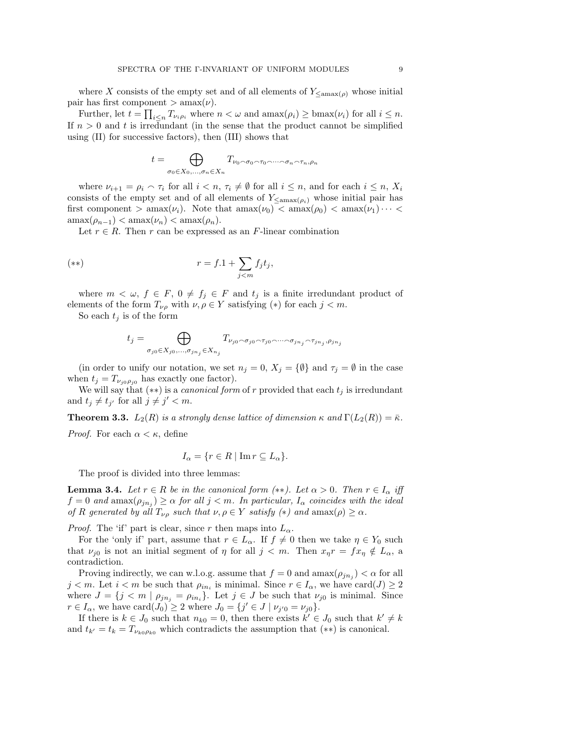where X consists of the empty set and of all elements of  $Y_{\leq \text{max}(\rho)}$  whose initial pair has first component  $>\mathrm{amax}(\nu)$ .

Further, let  $t = \prod_{i \leq n} T_{\nu_i \rho_i}$  where  $n < \omega$  and  $\text{amax}(\rho_i) \geq \text{bmax}(\nu_i)$  for all  $i \leq n$ . If  $n > 0$  and t is irredundant (in the sense that the product cannot be simplified using (II) for successive factors), then (III) shows that

$$
t = \bigoplus_{\sigma_0 \in X_0, \dots, \sigma_n \in X_n} T_{\nu_0 \cap \sigma_0 \cap \tau_0 \cap \dots \cap \sigma_n \cap \tau_n, \rho_n}
$$

where  $\nu_{i+1} = \rho_i \wedge \tau_i$  for all  $i \leq n$ ,  $\tau_i \neq \emptyset$  for all  $i \leq n$ , and for each  $i \leq n$ ,  $X_i$ consists of the empty set and of all elements of  $Y_{\leq \text{amax}(\rho_i)}$  whose initial pair has first component  $> \text{amax}(\nu_i)$ . Note that  $\text{amax}(\nu_0) < \text{amax}(\rho_0) < \text{amax}(\nu_1) \cdots <$  $\operatorname{amax}(\rho_{n-1}) < \operatorname{amax}(\nu_n) < \operatorname{amax}(\rho_n)$ .

Let  $r \in R$ . Then r can be expressed as an F-linear combination

$$
(*)\qquad \qquad r = f.1 + \sum_{j < m} f_j t_j,
$$

where  $m < \omega$ ,  $f \in F$ ,  $0 \neq f_j \in F$  and  $t_j$  is a finite irredundant product of elements of the form  $T_{\nu\rho}$  with  $\nu, \rho \in Y$  satisfying  $(*)$  for each  $j < m$ .

So each  $t_i$  is of the form

$$
t_j = \bigoplus_{\sigma_{j0} \in X_{j0}, \dots, \sigma_{jn_j} \in X_{n_j}} T_{\nu_{j0} \cap \sigma_{j0} \cap \tau_{j0} \cap \dots \cap \sigma_{jn_j} \cap \tau_{jn_j}, \rho_{jn_j}}
$$

(in order to unify our notation, we set  $n_j = 0$ ,  $X_j = \{\emptyset\}$  and  $\tau_j = \emptyset$  in the case when  $t_j = T_{\nu_{i0}\rho_{i0}}$  has exactly one factor).

We will say that  $(**)$  is a *canonical form* of r provided that each  $t_j$  is irredundant and  $t_j \neq t_{j'}$  for all  $j \neq j' < m$ .

**Theorem 3.3.**  $L_2(R)$  is a strongly dense lattice of dimension  $\kappa$  and  $\Gamma(L_2(R)) = \bar{\kappa}$ .

*Proof.* For each  $\alpha < \kappa$ , define

$$
I_{\alpha} = \{ r \in R \mid \text{Im}\, r \subseteq L_{\alpha} \}.
$$

The proof is divided into three lemmas:

**Lemma 3.4.** Let  $r \in R$  be in the canonical form  $(**)$ . Let  $\alpha > 0$ . Then  $r \in I_{\alpha}$  iff  $f = 0$  and  $\text{amax}(\rho_{jn_j}) \ge \alpha$  for all  $j < m$ . In particular,  $I_\alpha$  coincides with the ideal of R generated by all  $T_{\nu\rho}$  such that  $\nu, \rho \in Y$  satisfy  $(*)$  and  $\text{amax}(\rho) \geq \alpha$ .

*Proof.* The 'if' part is clear, since r then maps into  $L_{\alpha}$ .

For the 'only if' part, assume that  $r \in L_{\alpha}$ . If  $f \neq 0$  then we take  $\eta \in Y_0$  such that  $\nu_{i0}$  is not an initial segment of  $\eta$  for all  $j < m$ . Then  $x_n r = fx_n \notin L_\alpha$ , a contradiction.

Proving indirectly, we can w.l.o.g. assume that  $f = 0$  and  $\text{amax}(\rho_{jn_j}) < \alpha$  for all  $j < m$ . Let  $i < m$  be such that  $\rho_{in_i}$  is minimal. Since  $r \in I_\alpha$ , we have  $card(J) \geq 2$ where  $J = \{j \leq m \mid \rho_{jn_j} = \rho_{in_i}\}.$  Let  $j \in J$  be such that  $\nu_{j0}$  is minimal. Since  $r \in I_{\alpha}$ , we have  $\text{card}(J_0) \geq 2$  where  $J_0 = \{j' \in J \mid \nu_{j'0} = \nu_{j0}\}.$ 

If there is  $k \in J_0$  such that  $n_{k0} = 0$ , then there exists  $k' \in J_0$  such that  $k' \neq k$ and  $t_{k'} = t_k = T_{\nu_{k0}\rho_{k0}}$  which contradicts the assumption that  $(**)$  is canonical.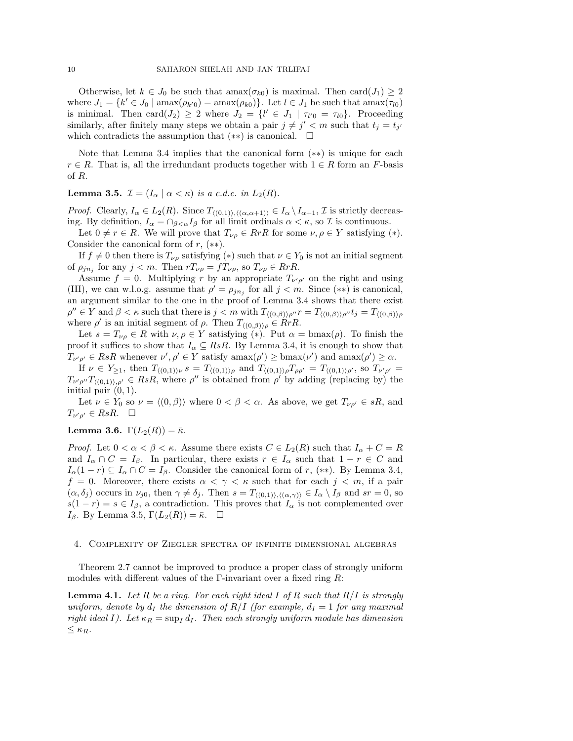Otherwise, let  $k \in J_0$  be such that  $\text{amax}(\sigma_{k0})$  is maximal. Then  $\text{card}(J_1) \geq 2$ where  $J_1 = \{k' \in J_0 \mid \text{amax}(\rho_{k'0}) = \text{amax}(\rho_{k0})\}\.$  Let  $l \in J_1$  be such that  $\text{amax}(\tau_{l0})$ is minimal. Then card $(J_2) \geq 2$  where  $J_2 = \{l' \in J_1 \mid \tau_{l'0} = \tau_{l0}\}\.$  Proceeding similarly, after finitely many steps we obtain a pair  $j \neq j' < m$  such that  $t_j = t_{j'}$ which contradicts the assumption that  $(**)$  is canonical.  $\square$ 

Note that Lemma 3.4 implies that the canonical form (∗∗) is unique for each  $r \in R$ . That is, all the irredundant products together with  $1 \in R$  form an F-basis of R.

# **Lemma 3.5.**  $\mathcal{I} = (I_{\alpha} \mid \alpha < \kappa)$  is a c.d.c. in  $L_2(R)$ .

*Proof.* Clearly,  $I_{\alpha} \in L_2(R)$ . Since  $T_{\langle (0,1) \rangle, \langle (\alpha, \alpha+1) \rangle} \in I_{\alpha} \setminus I_{\alpha+1}, \mathcal{I}$  is strictly decreasing. By definition,  $I_{\alpha} = \bigcap_{\beta < \alpha} I_{\beta}$  for all limit ordinals  $\alpha < \kappa$ , so  $\mathcal I$  is continuous.

Let  $0 \neq r \in R$ . We will prove that  $T_{\nu\rho} \in RrR$  for some  $\nu, \rho \in Y$  satisfying (\*). Consider the canonical form of  $r$ ,  $(**)$ .

If  $f \neq 0$  then there is  $T_{\nu\rho}$  satisfying (\*) such that  $\nu \in Y_0$  is not an initial segment of  $\rho_{jn_j}$  for any  $j < m$ . Then  $rT_{\nu\rho} = fT_{\nu\rho}$ , so  $T_{\nu\rho} \in RrR$ .

Assume  $f = 0$ . Multiplying r by an appropriate  $T_{\nu' \rho'}$  on the right and using (III), we can w.l.o.g. assume that  $\rho' = \rho_{jn_j}$  for all  $j < m$ . Since  $(**)$  is canonical, an argument similar to the one in the proof of Lemma 3.4 shows that there exist  $\rho'' \in Y$  and  $\beta < \kappa$  such that there is  $j < m$  with  $T_{\langle (0,\beta) \rangle \rho''} r = T_{\langle (0,\beta) \rangle \rho''} t_j = T_{\langle (0,\beta) \rangle \rho''}$ where  $\rho'$  is an initial segment of  $\rho$ . Then  $T_{\langle (0,\beta)\rangle \rho} \in RrR$ .

Let  $s = T_{\nu\rho} \in R$  with  $\nu, \rho \in Y$  satisfying (\*). Put  $\alpha = \text{bmax}(\rho)$ . To finish the proof it suffices to show that  $I_{\alpha} \subseteq RsR$ . By Lemma 3.4, it is enough to show that  $T_{\nu'\rho'} \in \text{Rs}R$  whenever  $\nu', \rho' \in Y$  satisfy  $\text{amax}(\rho') \ge \text{bmax}(\nu')$  and  $\text{amax}(\rho') \ge \alpha$ .

If  $\nu \in Y_{\geq 1}$ , then  $T_{\langle (0,1) \rangle \nu} s = T_{\langle (0,1) \rangle \rho}$  and  $T_{\langle (0,1) \rangle \rho} T_{\rho \rho'} = T_{\langle (0,1) \rangle \rho'}$ , so  $T_{\nu' \rho'} =$  $T_{\nu'\rho''}T_{((0,1)),\rho'} \in \mathit{RsR}$ , where  $\rho''$  is obtained from  $\rho'$  by adding (replacing by) the initial pair  $(0, 1)$ .

Let  $\nu \in Y_0$  so  $\nu = \langle (0, \beta) \rangle$  where  $0 < \beta < \alpha$ . As above, we get  $T_{\nu \rho'} \in sR$ , and  $T_{\nu'\rho'} \in \mathbb{R} sR. \quad \Box$ 

# Lemma 3.6.  $\Gamma(L_2(R)) = \bar{\kappa}$ .

*Proof.* Let  $0 < \alpha < \beta < \kappa$ . Assume there exists  $C \in L_2(R)$  such that  $I_\alpha + C = R$ and  $I_{\alpha} \cap C = I_{\beta}$ . In particular, there exists  $r \in I_{\alpha}$  such that  $1 - r \in C$  and  $I_{\alpha}(1-r) \subseteq I_{\alpha} \cap C = I_{\beta}$ . Consider the canonical form of r, (\*\*). By Lemma 3.4,  $f = 0$ . Moreover, there exists  $\alpha < \gamma < \kappa$  such that for each  $j < m$ , if a pair  $(\alpha, \delta_j)$  occurs in  $\nu_{j0}$ , then  $\gamma \neq \delta_j$ . Then  $s = T_{\langle (0,1) \rangle, \langle (\alpha, \gamma) \rangle} \in I_\alpha \setminus I_\beta$  and  $sr = 0$ , so  $s(1 - r) = s \in I_\beta$ , a contradiction. This proves that  $I_\alpha$  is not complemented over I<sub>β</sub>. By Lemma 3.5,  $\Gamma(L_2(R)) = \bar{\kappa}$ .  $\Box$ 

### 4. Complexity of Ziegler spectra of infinite dimensional algebras

Theorem 2.7 cannot be improved to produce a proper class of strongly uniform modules with different values of the Γ-invariant over a fixed ring  $R$ :

**Lemma 4.1.** Let R be a ring. For each right ideal I of R such that  $R/I$  is strongly uniform, denote by  $d_I$  the dimension of  $R/I$  (for example,  $d_I = 1$  for any maximal right ideal I). Let  $\kappa_R = \sup_I d_I$ . Then each strongly uniform module has dimension  $\leq \kappa_R$ .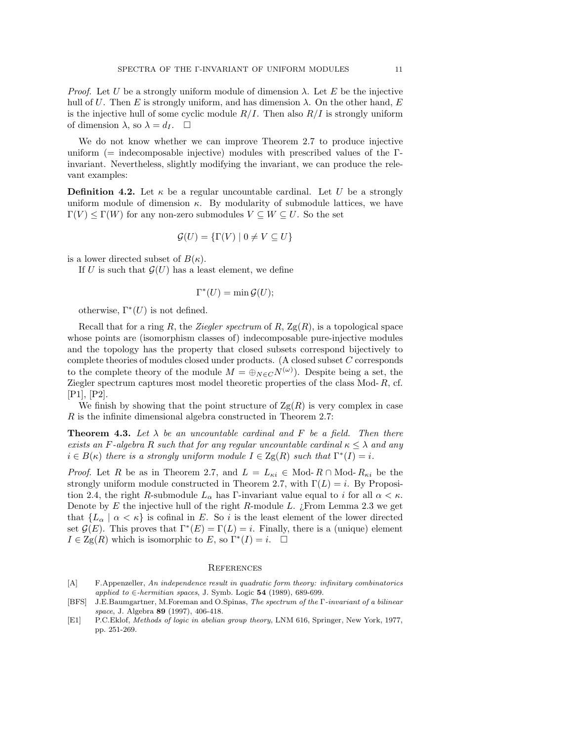*Proof.* Let U be a strongly uniform module of dimension  $\lambda$ . Let E be the injective hull of U. Then E is strongly uniform, and has dimension  $\lambda$ . On the other hand, E is the injective hull of some cyclic module  $R/I$ . Then also  $R/I$  is strongly uniform of dimension  $\lambda$ , so  $\lambda = d_I$ .  $\Box$ 

We do not know whether we can improve Theorem 2.7 to produce injective uniform (= indecomposable injective) modules with prescribed values of the Γinvariant. Nevertheless, slightly modifying the invariant, we can produce the relevant examples:

**Definition 4.2.** Let  $\kappa$  be a regular uncountable cardinal. Let U be a strongly uniform module of dimension  $\kappa$ . By modularity of submodule lattices, we have  $\Gamma(V) \leq \Gamma(W)$  for any non-zero submodules  $V \subseteq W \subseteq U$ . So the set

$$
\mathcal{G}(U) = \{ \Gamma(V) \mid 0 \neq V \subseteq U \}
$$

is a lower directed subset of  $B(\kappa)$ .

If U is such that  $\mathcal{G}(U)$  has a least element, we define

$$
\Gamma^*(U) = \min \mathcal{G}(U);
$$

otherwise,  $\Gamma^*(U)$  is not defined.

Recall that for a ring R, the Ziegler spectrum of R,  $\text{Zg}(R)$ , is a topological space whose points are (isomorphism classes of) indecomposable pure-injective modules and the topology has the property that closed subsets correspond bijectively to complete theories of modules closed under products. (A closed subset C corresponds to the complete theory of the module  $M = \bigoplus_{N \in C} N^{(\omega)}$ . Despite being a set, the Ziegler spectrum captures most model theoretic properties of the class Mod- R, cf. [P1], [P2].

We finish by showing that the point structure of  $\text{Zg}(R)$  is very complex in case R is the infinite dimensional algebra constructed in Theorem 2.7:

**Theorem 4.3.** Let  $\lambda$  be an uncountable cardinal and F be a field. Then there exists an F-algebra R such that for any regular uncountable cardinal  $\kappa \leq \lambda$  and any  $i \in B(\kappa)$  there is a strongly uniform module  $I \in \text{Zg}(R)$  such that  $\Gamma^*(I) = i$ .

*Proof.* Let R be as in Theorem 2.7, and  $L = L_{\kappa i} \in Mod-R \cap Mod-R_{\kappa i}$  be the strongly uniform module constructed in Theorem 2.7, with  $\Gamma(L) = i$ . By Proposition 2.4, the right R-submodule  $L_{\alpha}$  has Γ-invariant value equal to i for all  $\alpha < \kappa$ . Denote by E the injective hull of the right R-module L.  $\chi$ From Lemma 2.3 we get that  ${L_\alpha \mid \alpha < \kappa}$  is cofinal in E. So i is the least element of the lower directed set  $\mathcal{G}(E)$ . This proves that  $\Gamma^*(E) = \Gamma(L) = i$ . Finally, there is a (unique) element  $I \in \mathrm{Zg}(R)$  which is isomorphic to E, so  $\Gamma^*(I) = i$ .  $\Box$ 

#### **REFERENCES**

- [A] F.Appenzeller, An independence result in quadratic form theory: infinitary combinatorics applied to ∈-hermitian spaces, J. Symb. Logic 54 (1989), 689-699.
- [BFS] J.E.Baumgartner, M.Foreman and O.Spinas, The spectrum of the Γ-invariant of a bilinear space, J. Algebra 89 (1997), 406-418.
- [E1] P.C.Eklof, Methods of logic in abelian group theory, LNM 616, Springer, New York, 1977, pp. 251-269.